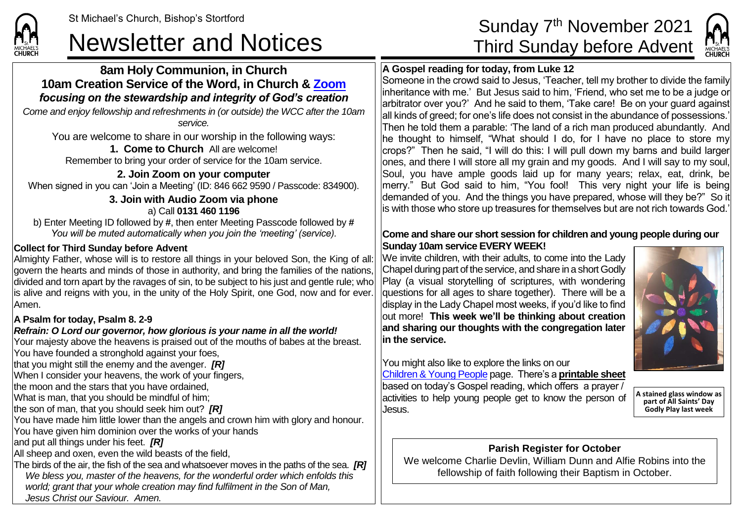# Newsletter and Notices Third Sunday before Advent

#### **8am Holy Communion, in Church 10am Creation Service of the Word, in Church & [Zoom](https://zoom.us/)** *focusing on the stewardship and integrity of God's creation*

*Come and enjoy fellowship and refreshments in (or outside) the WCC after the 10am service.*

You are welcome to share in our worship in the following ways:

#### **1. Come to Church** All are welcome!

Remember to bring your order of service for the 10am service.

**2. Join Zoom on your computer** When signed in you can 'Join a Meeting' (ID: 846 662 9590 / Passcode: 834900).

#### **3. Join with Audio Zoom via phone** a) Call **0131 460 1196**

b) Enter Meeting ID followed by **#**, then enter Meeting Passcode followed by **#** *You will be muted automatically when you join the 'meeting' (service).*

#### **Collect for Third Sunday before Advent**

Almighty Father, whose will is to restore all things in your beloved Son, the King of all: dovern the hearts and minds of those in authority, and bring the families of the nations. divided and torn apart by the ravages of sin, to be subject to his just and gentle rule; who is alive and reigns with you, in the unity of the Holy Spirit, one God, now and for ever. Amen.

#### **A Psalm for today, Psalm 8. 2-9**

**CHURCH** 

#### *Refrain: O Lord our governor, how glorious is your name in all the world!*

Your majesty above the heavens is praised out of the mouths of babes at the breast. You have founded a stronghold against your foes,

that you might still the enemy and the avenger. *[R]*

When I consider your heavens, the work of your fingers,

the moon and the stars that you have ordained,

What is man, that you should be mindful of him;

the son of man, that you should seek him out? *[R]*

You have made him little lower than the angels and crown him with glory and honour.

You have given him dominion over the works of your hands

and put all things under his feet. *[R]*

All sheep and oxen, even the wild beasts of the field,

The birds of the air, the fish of the sea and whatsoever moves in the paths of the sea. *[R] We bless you, master of the heavens, for the wonderful order which enfolds this world; grant that your whole creation may find fulfilment in the Son of Man, Jesus Christ our Saviour. Amen.*

# Sunday 7<sup>th</sup> November 2021

### **A Gospel reading for today, from Luke 12**

Someone in the crowd said to Jesus, 'Teacher, tell my brother to divide the family inheritance with me.' But Jesus said to him, 'Friend, who set me to be a judge or arbitrator over you?' And he said to them, 'Take care! Be on your guard against all kinds of greed; for one's life does not consist in the abundance of possessions.' Then he told them a parable: 'The land of a rich man produced abundantly. And he thought to himself, "What should I do, for I have no place to store my crops?" Then he said, "I will do this: I will pull down my barns and build larger ones, and there I will store all my grain and my goods. And I will say to my soul, Soul, you have ample goods laid up for many years; relax, eat, drink, be merry." But God said to him, "You fool! This very night your life is being demanded of you. And the things you have prepared, whose will they be?" So it is with those who store up treasures for themselves but are not rich towards God.'

#### **Come and share our short session for children and young people during our Sunday 10am service EVERY WEEK!**

We invite children, with their adults, to come into the Lady Chapel during part of the service, and share in a short Godly Play (a visual storytelling of scriptures, with wondering druestions for all ages to share together). There will be a display in the Lady Chapel most weeks, if you'd like to find out more! **This week we'll be thinking about creation and sharing our thoughts with the congregation later in the service.**



You might also like to explore the links on our [Children & Young People](https://saintmichaelweb.org.uk/Groups/310496/Children_and_Young.aspx) page. There's a **[printable sheet](https://saintmichaelweb.org.uk/Groups/310496/Children_and_Young.aspx)** based on today's Gospel reading, which offers a prayer /

Jesus.

activities to help young people get to know the person of **A stained glass window as part of All Saints' Day Godly Play last week**

## **Parish Register for October**

We welcome Charlie Devlin, William Dunn and Alfie Robins into the fellowship of faith following their Baptism in October.